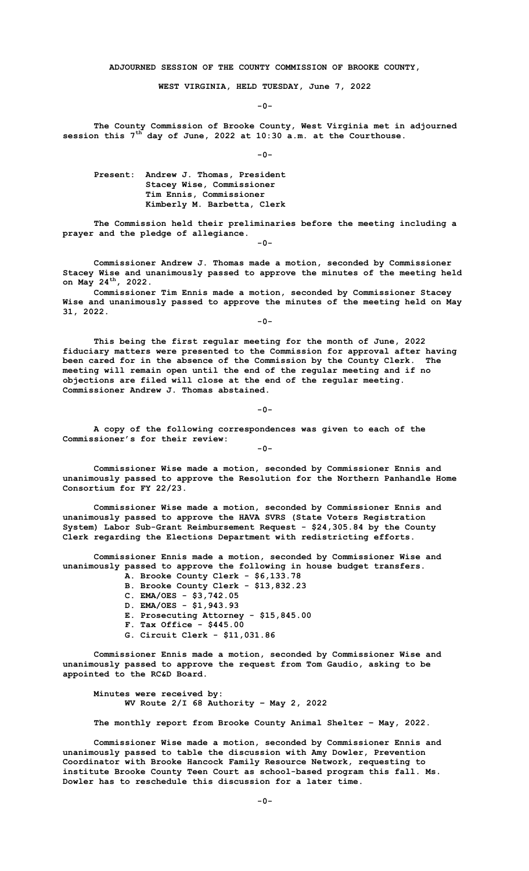**ADJOURNED SESSION OF THE COUNTY COMMISSION OF BROOKE COUNTY,**

**WEST VIRGINIA, HELD TUESDAY, June 7, 2022**

**-0-**

**The County Commission of Brooke County, West Virginia met in adjourned session this 7th day of June, 2022 at 10:30 a.m. at the Courthouse.**

**-0-**

**Present: Andrew J. Thomas, President Stacey Wise, Commissioner Tim Ennis, Commissioner Kimberly M. Barbetta, Clerk**

**The Commission held their preliminaries before the meeting including a prayer and the pledge of allegiance.** 

**-0-**

**Commissioner Andrew J. Thomas made a motion, seconded by Commissioner Stacey Wise and unanimously passed to approve the minutes of the meeting held on May 24th, 2022.**

**Commissioner Tim Ennis made a motion, seconded by Commissioner Stacey Wise and unanimously passed to approve the minutes of the meeting held on May 31, 2022.**

**-0-**

**This being the first regular meeting for the month of June, 2022 fiduciary matters were presented to the Commission for approval after having been cared for in the absence of the Commission by the County Clerk. The meeting will remain open until the end of the regular meeting and if no objections are filed will close at the end of the regular meeting. Commissioner Andrew J. Thomas abstained.**

**-0-**

**-0-**

**A copy of the following correspondences was given to each of the Commissioner's for their review:**

**Commissioner Wise made a motion, seconded by Commissioner Ennis and unanimously passed to approve the Resolution for the Northern Panhandle Home Consortium for FY 22/23.**

**Commissioner Wise made a motion, seconded by Commissioner Ennis and unanimously passed to approve the HAVA SVRS (State Voters Registration System) Labor Sub-Grant Reimbursement Request - \$24,305.84 by the County Clerk regarding the Elections Department with redistricting efforts.** 

**Commissioner Ennis made a motion, seconded by Commissioner Wise and unanimously passed to approve the following in house budget transfers.**

- **A. Brooke County Clerk - \$6,133.78 B. Brooke County Clerk - \$13,832.23**
- **C. EMA/OES - \$3,742.05**
- **D. EMA/OES - \$1,943.93**
- **E. Prosecuting Attorney - \$15,845.00**
- **F. Tax Office - \$445.00**
- **G. Circuit Clerk - \$11,031.86**

**Commissioner Ennis made a motion, seconded by Commissioner Wise and unanimously passed to approve the request from Tom Gaudio, asking to be appointed to the RC&D Board.** 

**Minutes were received by: WV Route 2/I 68 Authority – May 2, 2022**

**The monthly report from Brooke County Animal Shelter – May, 2022.**

**Commissioner Wise made a motion, seconded by Commissioner Ennis and unanimously passed to table the discussion with Amy Dowler, Prevention Coordinator with Brooke Hancock Family Resource Network, requesting to institute Brooke County Teen Court as school-based program this fall. Ms. Dowler has to reschedule this discussion for a later time.**